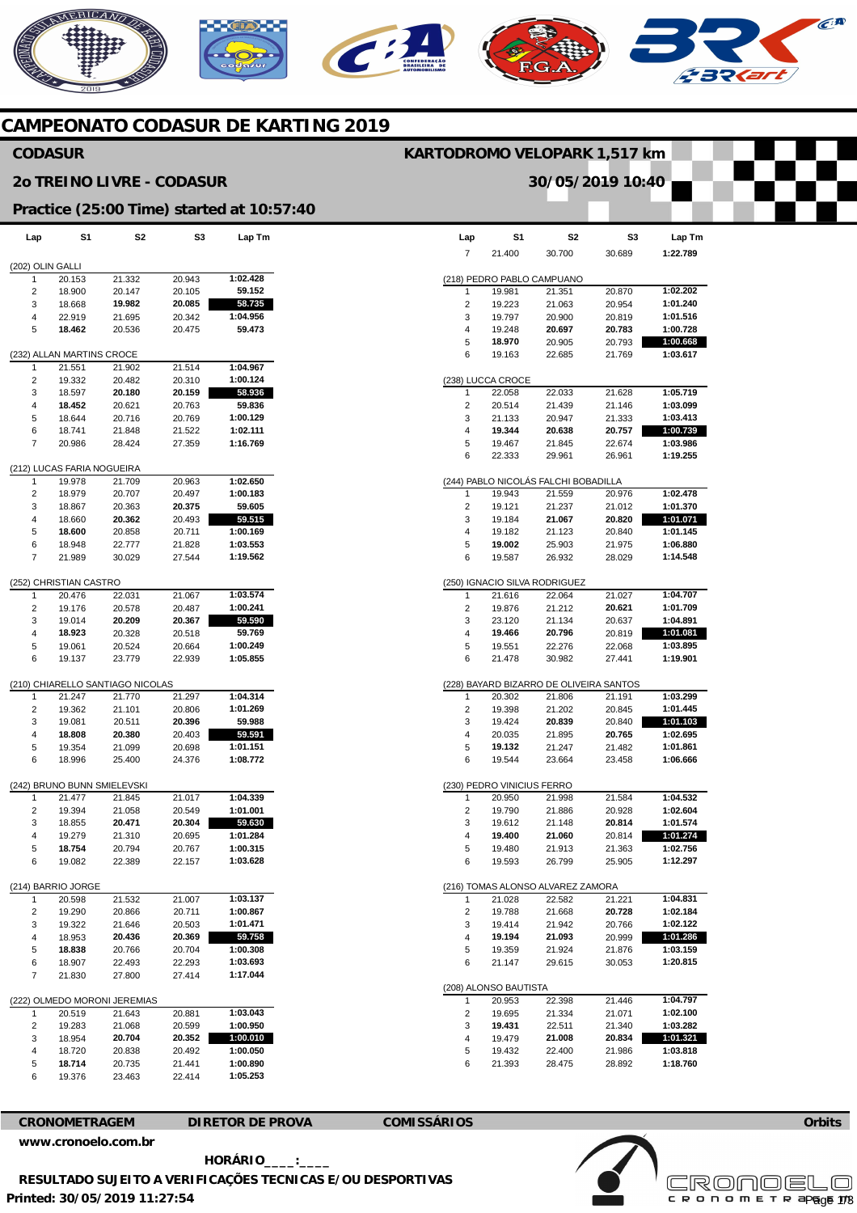# NERICANO  $\widehat{C}^{A}$

#### **CAMPEONATO CODASUR DE KARTING 2019**

#### **CODASUR**

#### **2o TREINO LIVRE - CODASUR**

#### **KARTODROMO VELOPARK 1,517 km**

**30/05/2019 10:40** 

**Practice (25:00 Time) started at 10:57:40** 

| Lap              | S1                          | S2                             | S3               | Lap Tm               |
|------------------|-----------------------------|--------------------------------|------------------|----------------------|
| (202) OLIN GALLI |                             |                                |                  |                      |
| 1                | 20.153                      | 21.332                         | 20.943           | 1:02.428             |
| 2                | 18.900                      | 20.147                         | 20.105           | 59.152               |
| 3                | 18.668                      | 19.982                         | 20.085           | 58.735               |
| 4                | 22.919                      | 21.695                         | 20.342           | 1:04.956             |
| 5                | 18.462                      | 20.536                         | 20.475           | 59.473               |
|                  |                             |                                |                  |                      |
|                  | (232) ALLAN MARTINS CROCE   |                                |                  |                      |
| 1                | 21.551                      | 21.902                         | 21.514           | 1:04.967             |
| 2                | 19.332                      | 20.482                         | 20.310           | 1:00.124             |
| 3                | 18.597                      | 20.180                         | 20.159           | 58.936               |
| 4                | 18.452                      | 20.621                         | 20.763           | 59.836               |
| 5                | 18.644                      | 20.716                         | 20.769           | 1:00.129             |
| 6                | 18.741                      | 21.848                         | 21.522           | 1:02.111             |
| 7                | 20.986                      | 28.424                         | 27.359           | 1:16.769             |
|                  | (212) LUCAS FARIA NOGUEIRA  |                                |                  |                      |
| 1                | 19.978                      | 21.709                         | 20.963           | 1:02.650             |
| 2                | 18.979                      | 20.707                         | 20.497           | 1:00.183             |
| 3                | 18.867                      | 20.363                         | 20.375           | 59.605               |
| 4                | 18.660                      | 20.362                         | 20.493           | 59.515               |
| 5                | 18.600                      | 20.858                         | 20.711           | 1:00.169             |
| 6                | 18.948                      | 22.777                         | 21.828           | 1:03.553             |
| 7                | 21.989                      | 30.029                         | 27.544           | 1:19.562             |
|                  |                             |                                |                  |                      |
|                  | (252) CHRISTIAN CASTRO      |                                |                  |                      |
| 1                | 20.476                      | 22.031                         | 21.067           | 1:03.574             |
| 2                | 19.176                      | 20.578                         | 20.487           | 1:00.241             |
| 3                | 19.014                      | 20.209                         | 20.367           | 59.590               |
| 4                | 18.923                      | 20.328                         | 20.518           | 59.769               |
| 5                | 19.061                      | 20.524                         | 20.664           | 1:00.249             |
| 6                | 19.137                      | 23.779                         | 22.939           | 1:05.855             |
|                  |                             | (210) CHIARELLO SANTIAGO NICOL |                  |                      |
| 1                | 21.247                      | 21.770                         | 21.297           | 1:04.314             |
| 2                | 19.362                      | 21.101                         | 20.806           | 1:01.269             |
| 3                | 19.081                      | 20.511                         | 20.396           | 59.988               |
| 4                | 18.808                      | 20.380                         | 20.403           | 59.591               |
| 5                | 19.354                      | 21.099                         | 20.698           | 1:01.151             |
| 6                | 18.996                      | 25.400                         | 24.376           | 1:08.772             |
|                  |                             |                                |                  |                      |
|                  | (242) BRUNO BUNN SMIELEVSKI |                                |                  |                      |
| 1                | 21.477                      | 21.845                         | 21.017           | 1:04.339             |
| 2                | 19.394                      | 21.058                         | 20.549           | 1:01.001             |
| 3                | 18.855                      | 20.471                         | 20.304           | 59.630               |
| 4                | 19.279                      | 21.310                         | 20.695           | 1:01.284             |
| 5                | 18.754                      | 20.794                         | 20.767           | 1:00.315             |
| 6                | 19.082                      | 22.389                         | 22.157           | 1:03.628             |
|                  | (214) BARRIO JORGE          |                                |                  |                      |
| 1                | 20.598                      | 21.532                         | 21.007           | 1:03.137             |
| 2                | 19.290                      | 20.866                         | 20.711           | 1:00.867             |
| 3                | 19.322                      | 21.646                         | 20.503           | 1:01.471             |
| 4                | 18.953                      | 20.436                         | 20.369           | 59.758               |
| 5                | 18.838                      | 20.766                         | 20.704           | 1:00.308             |
| 6                | 18.907                      | 22.493                         | 22.293           | 1:03.693             |
| 7                | 21.830                      | 27.800                         | 27.414           | 1:17.044             |
|                  |                             |                                |                  |                      |
| 1                |                             | (222) OLMEDO MORONI JEREMIAS   |                  |                      |
| 2                | 20.519<br>19.283            | 21.643                         | 20.881<br>20.599 | 1:03.043<br>1:00.950 |
| 3                | 18.954                      | 21.068<br>20.704               | 20.352           | 1:00.010             |
| 4                | 18.720                      | 20.838                         | 20.492           | 1:00.050             |
| 5                | 18.714                      | 20.735                         | 21.441           | 1:00.890             |
| 6                | 19.376                      | 23.463                         | 22.414           | 1:05.253             |
|                  |                             |                                |                  |                      |

| Lap    | S1                              | S2                                      | S3               | Lap Tm               |
|--------|---------------------------------|-----------------------------------------|------------------|----------------------|
| 7      | 21.400                          | 30.700                                  | 30.689           | 1:22.789             |
|        |                                 |                                         |                  |                      |
|        | (218) PEDRO PABLO CAMPUANO      |                                         |                  |                      |
| 1      | 19.981                          | 21.351                                  | 20.870           | 1:02.202             |
| 2      | 19.223                          | 21.063                                  | 20.954           | 1:01.240             |
| 3      | 19.797                          | 20.900<br>20.697                        | 20.819<br>20.783 | 1:01.516<br>1:00.728 |
| 4      | 19.248<br>18.970                | 20.905                                  | 20.793           | 1:00.668             |
| 5<br>6 | 19.163                          | 22.685                                  | 21.769           | 1:03.617             |
|        |                                 |                                         |                  |                      |
|        | (238) LUCCA CROCE               |                                         |                  |                      |
| 1      | 22.058                          | 22.033                                  | 21.628           | 1:05.719<br>1:03.099 |
| 2<br>3 | 20.514<br>21.133                | 21.439<br>20.947                        | 21.146<br>21.333 | 1:03.413             |
| 4      | 19.344                          | 20.638                                  | 20.757           | 1:00.739             |
| 5      | 19.467                          | 21.845                                  | 22.674           | 1:03.986             |
| 6      | 22.333                          | 29.961                                  | 26.961           | 1:19.255             |
|        |                                 |                                         |                  |                      |
| 1      |                                 | (244) PABLO NICOLÁS FALCHI BOBADILLA    |                  | 1:02.478             |
| 2      | 19.943<br>19.121                | 21.559<br>21.237                        | 20.976<br>21.012 | 1:01.370             |
| 3      | 19.184                          | 21.067                                  | 20.820           | 1:01.071             |
| 4      | 19.182                          | 21.123                                  | 20.840           | 1:01.145             |
| 5      | 19.002                          | 25.903                                  | 21.975           | 1:06.880             |
| 6      | 19.587                          | 26.932                                  | 28.029           | 1:14.548             |
|        |                                 |                                         |                  |                      |
|        |                                 | (250) IGNACIO SILVA RODRIGUEZ           |                  | 1:04.707             |
| 1      | 21.616<br>19.876                | 22.064                                  | 21.027<br>20.621 |                      |
| 2<br>3 | 23.120                          | 21.212<br>21.134                        | 20.637           | 1:01.709<br>1:04.891 |
| 4      | 19.466                          | 20.796                                  | 20.819           | 1:01.081             |
| 5      | 19.551                          | 22.276                                  | 22.068           | 1:03.895             |
| 6      | 21.478                          | 30.982                                  | 27.441           | 1:19.901             |
|        |                                 |                                         |                  |                      |
|        |                                 | (228) BAYARD BIZARRO DE OLIVEIRA SANTOS |                  |                      |
| 1      | 20.302                          | 21.806                                  | 21.191           | 1:03.299             |
| 2<br>3 | 19.398<br>19.424                | 21.202<br>20.839                        | 20.845<br>20.840 | 1:01.445<br>1:01.103 |
| 4      | 20.035                          | 21.895                                  | 20.765           | 1:02.695             |
| 5      | 19.132                          | 21.247                                  | 21.482           | 1:01.861             |
| 6      | 19.544                          | 23.664                                  | 23.458           | 1:06.666             |
|        |                                 |                                         |                  |                      |
|        | (230) PEDRO VINICIUS FERRO      |                                         |                  |                      |
| 1      | 20.950                          | 21.998                                  | 21.584           | 1:04.532             |
| 2<br>3 | 19.790                          | 21.886<br>21.148                        | 20.928<br>20.814 | 1:02.604<br>1:01.574 |
| 4      | 19.612<br>19.400                | 21.060                                  | 20.814           | 1:01.274             |
| 5      | 19.480                          | 21.913                                  | 21.363           | 1:02.756             |
| 6      | 19.593                          | 26.799                                  | 25.905           | 1:12.297             |
|        |                                 |                                         |                  |                      |
|        |                                 | (216) TOMAS ALONSO ALVAREZ ZAMORA       |                  | 1:04.831             |
| 1<br>2 | 21.028                          | 22.582                                  | 21.221<br>20.728 | 1:02.184             |
| 3      | 19.788<br>19.414                | 21.668<br>21.942                        | 20.766           | 1:02.122             |
| 4      | 19.194                          | 21.093                                  | 20.999           | 1:01.286             |
| 5      | 19.359                          | 21.924                                  | 21.876           | 1:03.159             |
| 6      | 21.147                          | 29.615                                  | 30.053           | 1:20.815             |
|        |                                 |                                         |                  |                      |
| 1      | (208) ALONSO BAUTISTA<br>20.953 | 22.398                                  | 21.446           | 1:04.797             |
| 2      | 19.695                          | 21.334                                  | 21.071           | 1:02.100             |
| 3      | 19.431                          | 22.511                                  | 21.340           | 1:03.282             |
| 4      | 19.479                          | 21.008                                  | 20.834           | 1:01.321             |
| 5      | 19.432                          | 22.400                                  | 21.986           | 1:03.818             |

**CRONOMETRAGEM DIRETOR DE PROVA COMISSÁRIOS** 

6

21.393

28.475

28.892

**1:18.760** 

**[www.cronoelo.com.br](http://www.cronoelo.com.br)** 

**Printed: 30/05/2019 11:27:54 HORÁRIO\_\_\_\_:\_\_\_\_ RESULTADO SUJEITO A VERIFICAÇÕES TECNICAS E/OU DESPORTIVAS** 

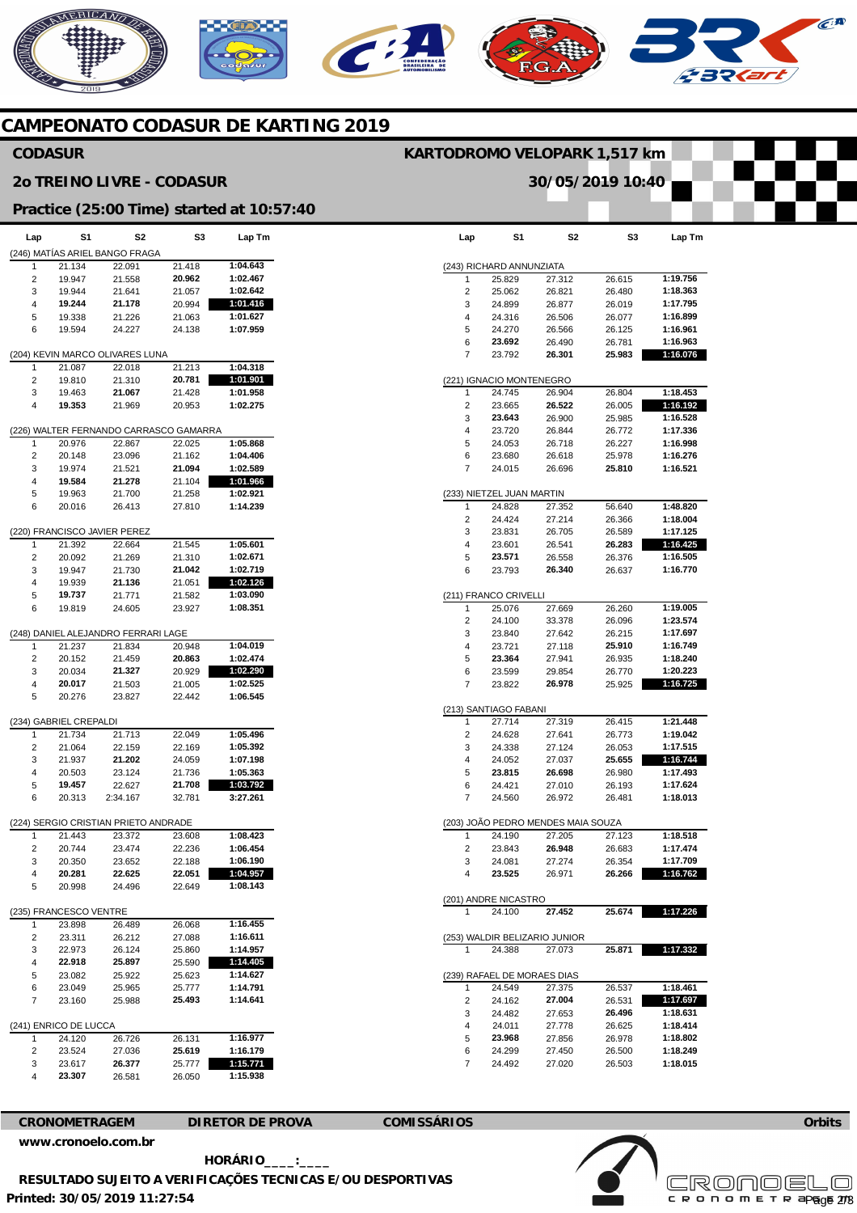## NERICANO  $\epsilon$ **A**  $\mathcal{C}$

### **CAMPEONATO CODASUR DE KARTING 2019**

#### **CODASUR**

#### **2o TREINO LIVRE - CODASUR**

#### **Practice (25:00 Time) started at 10:57:40**

| Lap | S1                     | S <sub>2</sub>                         | S3     | Lap Tm   |
|-----|------------------------|----------------------------------------|--------|----------|
|     |                        |                                        |        |          |
|     |                        | (246) MATÍAS ARIEL BANGO FRAGA         |        |          |
| 1   | 21.134                 | 22.091                                 | 21.418 | 1:04.643 |
| 2   | 19.947                 | 21.558                                 | 20.962 | 1:02.467 |
| 3   | 19.944                 | 21.641                                 | 21.057 | 1:02.642 |
| 4   | 19.244                 | 21.178                                 | 20.994 | 1:01.416 |
|     |                        |                                        |        |          |
| 5   | 19.338                 | 21.226                                 | 21.063 | 1:01.627 |
| 6   | 19.594                 | 24.227                                 | 24.138 | 1:07.959 |
|     |                        |                                        |        |          |
|     |                        | (204) KEVIN MARCO OLIVARES LUNA        |        |          |
| 1   | 21.087                 | 22.018                                 | 21.213 | 1:04.318 |
| 2   | 19.810                 | 21.310                                 | 20.781 | 1:01.901 |
| 3   | 19.463                 | 21.067                                 | 21.428 | 1:01.958 |
|     |                        |                                        |        | 1:02.275 |
| 4   | 19.353                 | 21.969                                 | 20.953 |          |
|     |                        |                                        |        |          |
|     |                        | (226) WALTER FERNANDO CARRASCO GAMARRA |        |          |
| 1   | 20.976                 | 22.867                                 | 22.025 | 1:05.868 |
| 2   | 20.148                 | 23.096                                 | 21.162 | 1:04.406 |
| 3   | 19.974                 | 21.521                                 | 21.094 | 1:02.589 |
|     |                        |                                        |        |          |
| 4   | 19.584                 | 21.278                                 | 21.104 | 1:01.966 |
| 5   | 19.963                 | 21.700                                 | 21.258 | 1:02.921 |
| 6   | 20.016                 | 26.413                                 | 27.810 | 1:14.239 |
|     |                        |                                        |        |          |
|     |                        | (220) FRANCISCO JAVIER PEREZ           |        |          |
| 1   | 21.392                 | 22.664                                 | 21.545 | 1:05.601 |
|     |                        |                                        |        |          |
| 2   | 20.092                 | 21.269                                 | 21.310 | 1:02.671 |
| 3   | 19.947                 | 21.730                                 | 21.042 | 1:02.719 |
| 4   | 19.939                 | 21.136                                 | 21.051 | 1:02.126 |
| 5   | 19.737                 | 21.771                                 | 21.582 | 1:03.090 |
| 6   | 19.819                 | 24.605                                 | 23.927 | 1:08.351 |
|     |                        |                                        |        |          |
|     |                        |                                        |        |          |
|     |                        | (248) DANIEL ALEJANDRO FERRARI LAGE    |        |          |
| 1   | 21.237                 | 21.834                                 | 20.948 | 1:04.019 |
| 2   | 20.152                 | 21.459                                 | 20.863 | 1:02.474 |
| 3   | 20.034                 | 21.327                                 | 20.929 | 1:02.290 |
| 4   | 20.017                 | 21.503                                 | 21.005 | 1:02.525 |
|     |                        |                                        |        |          |
| 5   | 20.276                 | 23.827                                 | 22.442 | 1:06.545 |
|     |                        |                                        |        |          |
|     | (234) GABRIEL CREPALDI |                                        |        |          |
| 1   | 21.734                 | 21.713                                 | 22.049 | 1:05.496 |
| 2   | 21.064                 | 22.159                                 | 22.169 | 1:05.392 |
| 3   | 21.937                 | 21.202                                 | 24.059 | 1:07.198 |
| 4   |                        |                                        | 21.736 | 1:05.363 |
|     | 20.503                 | 23.124                                 |        |          |
| 5   | 19.457                 | 22.627                                 | 21.708 | 1:03.792 |
| 6   | 20.313                 | 2:34.167                               | 32.781 | 3:27.261 |
|     |                        |                                        |        |          |
|     |                        | (224) SERGIO CRISTIAN PRIETO ANDRADE   |        |          |
| 1   | 21.443                 | 23.372                                 | 23.608 | 1:08.423 |
| 2   | 20.744                 | 23.474                                 | 22.236 | 1:06.454 |
|     |                        |                                        |        |          |
| 3   | 20.350                 | 23.652                                 | 22.188 | 1:06.190 |
| 4   | 20.281                 | 22.625                                 | 22.051 | 1:04.957 |
| 5   | 20.998                 | 24.496                                 | 22.649 | 1:08.143 |
|     |                        |                                        |        |          |
|     | (235) FRANCESCO VENTRE |                                        |        |          |
| 1   | 23.898                 | 26.489                                 | 26.068 | 1:16.455 |
|     |                        |                                        |        |          |
| 2   | 23.311                 | 26.212                                 | 27.088 | 1:16.611 |
| 3   | 22.973                 | 26.124                                 | 25.860 | 1:14.957 |
| 4   | 22.918                 | 25.897                                 | 25.590 | 1:14.405 |
| 5   | 23.082                 | 25.922                                 | 25.623 | 1:14.627 |
| 6   | 23.049                 | 25.965                                 | 25.777 | 1:14.791 |
|     |                        |                                        | 25.493 |          |
| 7   | 23.160                 | 25.988                                 |        | 1:14.641 |
|     |                        |                                        |        |          |
|     | (241) ENRICO DE LUCCA  |                                        |        |          |
| 1   | 24.120                 | 26.726                                 | 26.131 | 1:16.977 |
| 2   | 23.524                 | 27.036                                 | 25.619 | 1:16.179 |
| 3   | 23.617                 | 26.377                                 | 25.777 | 1:15.771 |
| 4   | 23.307                 | 26.581                                 | 26.050 | 1:15.938 |
|     |                        |                                        |        |          |

| Lap    | S1                        | S <sub>2</sub>                               | S3               | Lap Tm               |
|--------|---------------------------|----------------------------------------------|------------------|----------------------|
|        | (243) RICHARD ANNUNZIATA  |                                              |                  |                      |
| 1      | 25.829                    | 27.312                                       | 26.615           | 1:19.756             |
| 2      | 25.062                    | 26.821                                       | 26.480           | 1:18.363             |
| 3      | 24.899                    | 26.877                                       | 26.019           | 1:17.795             |
| 4      | 24.316                    | 26.506                                       | 26.077           | 1:16.899             |
| 5      | 24.270                    | 26.566                                       | 26.125           | 1:16.961             |
| 6      | 23.692                    | 26.490                                       | 26.781           | 1:16.963             |
| 7      | 23.792                    | 26.301                                       | 25.983           | 1:16.076             |
|        | (221) IGNACIO MONTENEGRO  |                                              |                  |                      |
| 1      | 24.745                    | 26.904                                       | 26.804           | 1:18.453             |
| 2      | 23.665                    | 26.522                                       | 26.005           | 1:16.192             |
| 3      | 23.643                    | 26.900                                       | 25.985           | 1:16.528             |
| 4      | 23.720                    | 26.844                                       | 26.772           | 1:17.336             |
| 5      | 24.053                    | 26.718                                       | 26.227           | 1:16.998             |
| 6      | 23.680                    | 26.618                                       | 25.978           | 1:16.276             |
| 7      | 24.015                    | 26.696                                       | 25.810           | 1:16.521             |
|        | (233) NIETZEL JUAN MARTIN |                                              |                  |                      |
| 1      | 24.828                    | 27.352                                       | 56.640           | 1:48.820             |
| 2      | 24.424                    | 27.214                                       | 26.366           | 1:18.004             |
|        |                           | 26.705                                       |                  |                      |
| 3      | 23.831                    |                                              | 26.589           | 1:17.125             |
| 4      | 23.601                    | 26.541                                       | 26.283           | 1:16.425             |
| 5      | 23.571                    | 26.558                                       | 26.376           | 1:16.505             |
| 6      | 23.793                    | 26.340                                       | 26.637           | 1:16.770             |
|        | (211) FRANCO CRIVELLI     |                                              |                  |                      |
| 1      | 25.076                    | 27.669                                       | 26.260           | 1:19.005             |
| 2      | 24.100                    | 33.378                                       | 26.096           | 1:23.574             |
| 3      | 23.840                    | 27.642                                       | 26.215           | 1:17.697             |
| 4      | 23.721                    | 27.118                                       | 25.910           | 1:16.749             |
| 5      | 23.364                    | 27.941                                       | 26.935           | 1:18.240             |
| 6      | 23.599                    | 29.854                                       | 26.770           | 1:20.223             |
| 7      | 23.822                    | 26.978                                       | 25.925           | 1:16.725             |
|        | (213) SANTIAGO FABANI     |                                              |                  |                      |
| 1      | 27.714                    | 27.319                                       | 26.415           | 1:21.448             |
| 2      | 24.628                    | 27.641                                       | 26.773           | 1:19.042             |
| 3      | 24.338                    | 27.124                                       | 26.053           | 1:17.515             |
| 4      | 24.052                    | 27.037                                       | 25.655           | 1:16.744             |
|        |                           |                                              |                  |                      |
| 5      | 23.815                    | 26.698                                       | 26.980           | 1:17.493             |
| 6<br>7 | 24.421<br>24.560          | 27.010<br>26.972                             | 26.193<br>26.481 | 1:17.624<br>1:18.013 |
|        |                           |                                              |                  |                      |
| 1      | 24.190                    | (203) JOÃO PEDRO MENDES MAIA SOUZA<br>27.205 | 27.123           | 1:18.518             |
| 2      | 23.843                    | 26.948                                       | 26.683           | 1:17.474             |
|        |                           | 27.274                                       | 26.354           | 1:17.709             |
| 3<br>4 | 24.081<br>23.525          | 26.971                                       | 26.266           | 1:16.762             |
|        | (201) ANDRE NICASTRO      |                                              |                  |                      |
|        | 24.100                    | 27.452                                       | 25.674           | 1:17.226             |
|        |                           |                                              |                  |                      |
|        | 24.388                    | (253) WALDIR BELIZARIO JUNIOR<br>27.073      | 25.871           | 1:17.332             |
|        |                           |                                              |                  |                      |
|        |                           | (239) RAFAEL DE MORAES DIAS                  |                  |                      |
|        | 24.549                    | 27.375                                       | 26.537           | 1:18.461             |
| 2      | 24.162                    | 27.004                                       | 26.531           | 1:17.697             |
| 3      | 24.482                    | 27.653                                       | 26.496           | 1:18.631             |
| 4      | 24.011                    | 27.778                                       | 26.625           | 1:18.414             |
| 5      | 23.968                    | 27.856                                       | 26.978           | 1:18.802             |
| 6      | 24.299                    | 27.450                                       | 26.500           | 1:18.249             |
| 7      | 24.492                    | 27.020                                       | 26.503           | 1:18.015             |

**KARTODROMO VELOPARK 1,517 km** 

**30/05/2019 10:40** 

**[www.cronoelo.com.br](http://www.cronoelo.com.br)** 

**CRONOMETRAGEM DIRETOR DE PROVA COMISSÁRIOS** 



**Printed: 30/05/2019 11:27:54 HORÁRIO\_\_\_\_:\_\_\_\_ RESULTADO SUJEITO A VERIFICAÇÕES TECNICAS E/OU DESPORTIVAS** 



**Orbits**